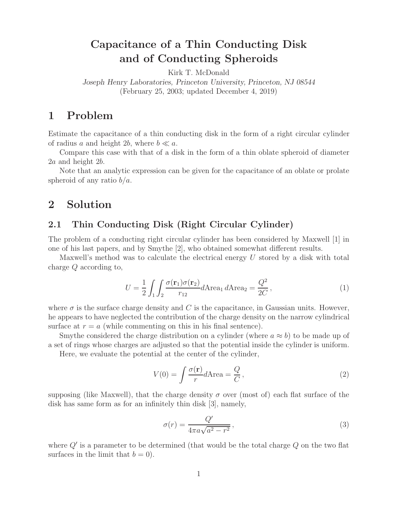# **Capacitance of a Thin Conducting Disk and of Conducting Spheroids**

Kirk T. McDonald *Joseph Henry Laboratories, Princeton University, Princeton, NJ 08544* (February 25, 2003; updated December 4, 2019)

## **1 Problem**

Estimate the capacitance of a thin conducting disk in the form of a right circular cylinder of radius a and height 2b, where  $b \ll a$ .

Compare this case with that of a disk in the form of a thin oblate spheroid of diameter 2a and height 2b.

Note that an analytic expression can be given for the capacitance of an oblate or prolate spheroid of any ratio  $b/a$ .

## **2 Solution**

### **2.1 Thin Conducting Disk (Right Circular Cylinder)**

The problem of a conducting right circular cylinder has been considered by Maxwell [1] in one of his last papers, and by Smythe [2], who obtained somewhat different results.

Maxwell's method was to calculate the electrical energy  $U$  stored by a disk with total charge Q according to,

$$
U = \frac{1}{2} \int_{1} \int_{2} \frac{\sigma(\mathbf{r}_{1})\sigma(\mathbf{r}_{2})}{r_{12}} d\text{Area}_{1} d\text{Area}_{2} = \frac{Q^{2}}{2C}, \qquad (1)
$$

where  $\sigma$  is the surface charge density and C is the capacitance, in Gaussian units. However, he appears to have neglected the contribution of the charge density on the narrow cylindrical surface at  $r = a$  (while commenting on this in his final sentence).

Smythe considered the charge distribution on a cylinder (where  $a \approx b$ ) to be made up of a set of rings whose charges are adjusted so that the potential inside the cylinder is uniform.

Here, we evaluate the potential at the center of the cylinder,

$$
V(0) = \int \frac{\sigma(\mathbf{r})}{r} dA \text{rea} = \frac{Q}{C},\tag{2}
$$

supposing (like Maxwell), that the charge density  $\sigma$  over (most of) each flat surface of the disk has same form as for an infinitely thin disk [3], namely,

$$
\sigma(r) = \frac{Q'}{4\pi a\sqrt{a^2 - r^2}},\tag{3}
$$

where  $Q'$  is a parameter to be determined (that would be the total charge  $Q$  on the two flat surfaces in the limit that  $b = 0$ .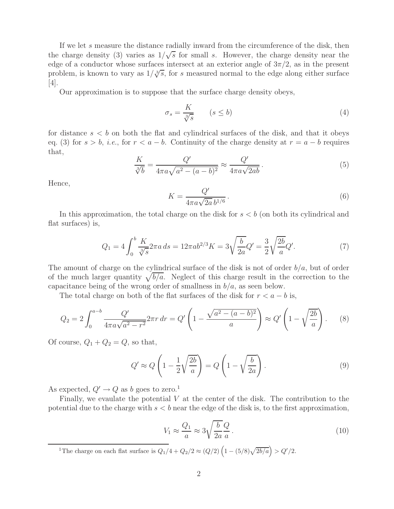If we let s measure the distance radially inward from the circumference of the disk, then the charge density (3) varies as  $1/\sqrt{s}$  for small s. However, the charge density near the edge of a conductor whose surfaces intersect at an exterior angle of  $3\pi/2$ , as in the present problem, is known to vary as  $1/\sqrt[3]{s}$ , for s measured normal to the edge along either surface  $|4|$ .

Our approximation is to suppose that the surface charge density obeys,

$$
\sigma_s = \frac{K}{\sqrt[3]{s}} \qquad (s \le b)
$$
\n<sup>(4)</sup>

for distance  $s < b$  on both the flat and cylindrical surfaces of the disk, and that it obeys eq. (3) for  $s > b$ , *i.e.*, for  $r < a - b$ . Continuity of the charge density at  $r = a - b$  requires that,

$$
\frac{K}{\sqrt[3]{b}} = \frac{Q'}{4\pi a\sqrt{a^2 - (a-b)^2}} \approx \frac{Q'}{4\pi a\sqrt{2ab}}.\tag{5}
$$

Hence,

$$
K = \frac{Q'}{4\pi a\sqrt{2a}\,b^{1/6}}\,. \tag{6}
$$

In this approximation, the total charge on the disk for  $s < b$  (on both its cylindrical and flat surfaces) is,

$$
Q_1 = 4 \int_0^b \frac{K}{\sqrt[3]{s}} 2\pi a \, ds = 12\pi a b^{2/3} K = 3 \sqrt{\frac{b}{2a}} Q' = \frac{3}{2} \sqrt{\frac{2b}{a}} Q'. \tag{7}
$$

The amount of charge on the cylindrical surface of the disk is not of order  $b/a$ , but of order of the much larger quantity  $\sqrt{b/a}$ . Neglect of this charge result in the correction to the capacitance being of the wrong order of smallness in  $b/a$ , as seen below.

The total charge on both of the flat surfaces of the disk for  $r < a - b$  is,

$$
Q_2 = 2 \int_0^{a-b} \frac{Q'}{4\pi a \sqrt{a^2 - r^2}} 2\pi r \, dr = Q' \left( 1 - \frac{\sqrt{a^2 - (a-b)^2}}{a} \right) \approx Q' \left( 1 - \sqrt{\frac{2b}{a}} \right). \tag{8}
$$

Of course,  $Q_1 + Q_2 = Q$ , so that,

$$
Q' \approx Q \left( 1 - \frac{1}{2} \sqrt{\frac{2b}{a}} \right) = Q \left( 1 - \sqrt{\frac{b}{2a}} \right). \tag{9}
$$

As expected,  $Q' \rightarrow Q$  as b goes to zero.<sup>1</sup>

Finally, we evaulate the potential  $V$  at the center of the disk. The contribution to the potential due to the charge with  $s < b$  near the edge of the disk is, to the first approximation,

$$
V_1 \approx \frac{Q_1}{a} \approx 3\sqrt{\frac{b}{2a}} \frac{Q}{a} \,. \tag{10}
$$

<sup>1</sup>The charge on each flat surface is  $Q_1/4 + Q_2/2 \approx (Q/2) (1 - (5/8)\sqrt{2b/a}) > Q'/2$ .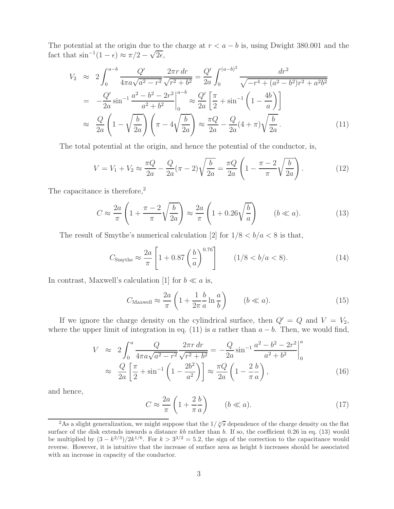The potential at the origin due to the charge at  $r < a - b$  is, using Dwight 380.001 and the fact that  $\sin^{-1}(1-\epsilon) \approx \pi/2 - \sqrt{2\epsilon}$ ,

$$
V_2 \approx 2 \int_0^{a-b} \frac{Q'}{4\pi a \sqrt{a^2 - r^2}} \frac{2\pi r dr}{\sqrt{r^2 + b^2}} = \frac{Q'}{2a} \int_0^{(a-b)^2} \frac{dr^2}{\sqrt{-r^4 + (a^2 - b^2)r^2 + a^2b^2}}
$$
  
=  $-\frac{Q'}{2a} \sin^{-1} \frac{a^2 - b^2 - 2r^2}{a^2 + b^2} \Big|_0^{a-b} \approx \frac{Q'}{2a} \left[ \frac{\pi}{2} + \sin^{-1} \left( 1 - \frac{4b}{a} \right) \right]$   
 $\approx \frac{Q}{2a} \left( 1 - \sqrt{\frac{b}{2a}} \right) \left( \pi - 4\sqrt{\frac{b}{2a}} \right) \approx \frac{\pi Q}{2a} - \frac{Q}{2a} (4 + \pi) \sqrt{\frac{b}{2a}}.$  (11)

The total potential at the origin, and hence the potential of the conductor, is,

$$
V = V_1 + V_2 \approx \frac{\pi Q}{2a} - \frac{Q}{2a} (\pi - 2) \sqrt{\frac{b}{2a}} = \frac{\pi Q}{2a} \left( 1 - \frac{\pi - 2}{\pi} \sqrt{\frac{b}{2a}} \right).
$$
 (12)

The capacitance is therefore,<sup>2</sup>

$$
C \approx \frac{2a}{\pi} \left( 1 + \frac{\pi - 2}{\pi} \sqrt{\frac{b}{2a}} \right) \approx \frac{2a}{\pi} \left( 1 + 0.26 \sqrt{\frac{b}{a}} \right) \qquad (b \ll a). \tag{13}
$$

The result of Smythe's numerical calculation [2] for  $1/8 < b/a < 8$  is that,

$$
C_{\text{Smythe}} \approx \frac{2a}{\pi} \left[ 1 + 0.87 \left( \frac{b}{a} \right)^{0.76} \right] \qquad (1/8 < b/a < 8). \tag{14}
$$

In contrast, Maxwell's calculation [1] for  $b \ll a$  is,

$$
C_{\text{Maxwell}} \approx \frac{2a}{\pi} \left( 1 + \frac{1}{2\pi} \frac{b}{a} \ln \frac{a}{b} \right) \qquad (b \ll a). \tag{15}
$$

If we ignore the charge density on the cylindrical surface, then  $Q' = Q$  and  $V = V_2$ , where the upper limit of integration in eq. (11) is a rather than  $a - b$ . Then, we would find,

$$
V \approx 2 \int_0^a \frac{Q}{4\pi a \sqrt{a^2 - r^2}} \frac{2\pi r \, dr}{\sqrt{r^2 + b^2}} = -\frac{Q}{2a} \sin^{-1} \frac{a^2 - b^2 - 2r^2}{a^2 + b^2} \Big|_0^a
$$
  

$$
\approx \frac{Q}{2a} \left[ \frac{\pi}{2} + \sin^{-1} \left( 1 - \frac{2b^2}{a^2} \right) \right] \approx \frac{\pi Q}{2a} \left( 1 - \frac{2b}{\pi a} \right), \tag{16}
$$

and hence,

$$
C \approx \frac{2a}{\pi} \left( 1 + \frac{2b}{\pi a} \right) \qquad (b \ll a). \tag{17}
$$

<sup>&</sup>lt;sup>2</sup>As a slight generalization, we might suppose that the  $1/\sqrt[3]{s}$  dependence of the charge density on the flat surface of the disk extends inwards a distance *kb* rather than *b*. If so, the coefficient 0.26 in eq. (13) would be multiplied by  $(3 - k^{2/3})/2k^{1/6}$ . For  $k > 3^{3/2} = 5.2$ , the sign of the correction to the capacitance would reverse. However, it is intuitive that the increase of surface area as height *b* increases should be associated with an increase in capacity of the conductor.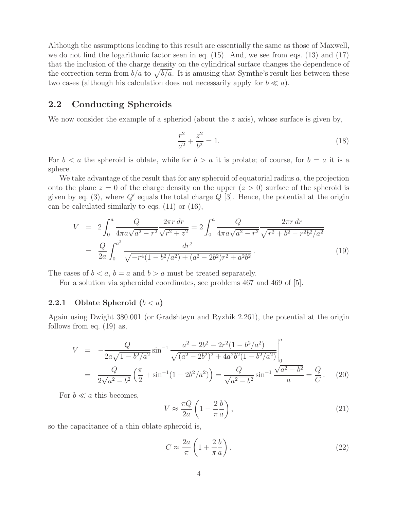Although the assumptions leading to this result are essentially the same as those of Maxwell, we do not find the logarithmic factor seen in eq. (15). And, we see from eqs. (13) and (17) that the inclusion of the charge density on the cylindrical surface changes the dependence of the correction term from  $b/a$  to  $\sqrt{b/a}$ . It is amusing that Symthe's result lies between these two cases (although his calculation does not necessarily apply for  $b \ll a$ ).

### **2.2 Conducting Spheroids**

We now consider the example of a spheriod (about the  $z$  axis), whose surface is given by,

$$
\frac{r^2}{a^2} + \frac{z^2}{b^2} = 1.
$$
\n(18)

For  $b < a$  the spheroid is oblate, while for  $b > a$  it is prolate; of course, for  $b = a$  it is a sphere.

We take advantage of the result that for any spheroid of equatorial radius  $a$ , the projection onto the plane  $z = 0$  of the charge density on the upper  $(z > 0)$  surface of the spheroid is given by eq. (3), where  $Q'$  equals the total charge  $Q$  [3]. Hence, the potential at the origin can be calculated similarly to eqs. (11) or (16),

$$
V = 2 \int_0^a \frac{Q}{4\pi a \sqrt{a^2 - r^2}} \frac{2\pi r dr}{\sqrt{r^2 + z^2}} = 2 \int_0^a \frac{Q}{4\pi a \sqrt{a^2 - r^2}} \frac{2\pi r dr}{\sqrt{r^2 + b^2 - r^2 b^2 / a^2}}
$$

$$
= \frac{Q}{2a} \int_0^{a^2} \frac{dr^2}{\sqrt{-r^4 (1 - b^2/a^2) + (a^2 - 2b^2)r^2 + a^2 b^2}}.
$$
(19)

The cases of  $b < a$ ,  $b = a$  and  $b > a$  must be treated separately.

For a solution via spheroidal coordinates, see problems 467 and 469 of [5].

### **2.2.1** Oblate Spheroid  $(b < a)$

Again using Dwight 380.001 (or Gradshteyn and Ryzhik 2.261), the potential at the origin follows from eq. (19) as,

$$
V = -\frac{Q}{2a\sqrt{1 - b^2/a^2}} \sin^{-1} \frac{a^2 - 2b^2 - 2r^2(1 - b^2/a^2)}{\sqrt{(a^2 - 2b^2)^2 + 4a^2b^2(1 - b^2/a^2)}} \Big|_0^a
$$
  
= 
$$
\frac{Q}{2\sqrt{a^2 - b^2}} \left(\frac{\pi}{2} + \sin^{-1}(1 - 2b^2/a^2)\right) = \frac{Q}{\sqrt{a^2 - b^2}} \sin^{-1} \frac{\sqrt{a^2 - b^2}}{a} = \frac{Q}{C}.
$$
 (20)

For  $b \ll a$  this becomes,

$$
V \approx \frac{\pi Q}{2a} \left( 1 - \frac{2}{\pi} \frac{b}{a} \right),\tag{21}
$$

so the capacitance of a thin oblate spheroid is,

$$
C \approx \frac{2a}{\pi} \left( 1 + \frac{2b}{\pi a} \right). \tag{22}
$$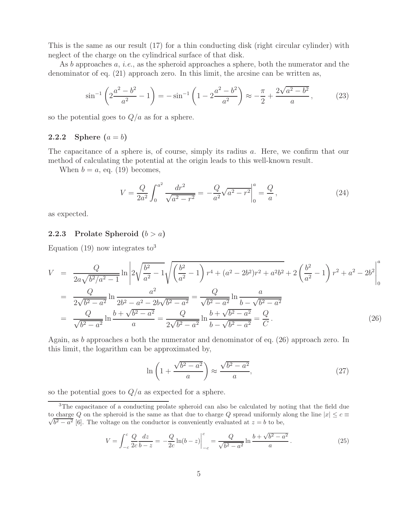This is the same as our result (17) for a thin conducting disk (right circular cylinder) with neglect of the charge on the cylindrical surface of that disk.

As b approaches a, *i.e.*, as the spheroid approaches a sphere, both the numerator and the denominator of eq. (21) approach zero. In this limit, the arcsine can be written as,

$$
\sin^{-1}\left(2\frac{a^2-b^2}{a^2}-1\right) = -\sin^{-1}\left(1-2\frac{a^2-b^2}{a^2}\right) \approx -\frac{\pi}{2} + \frac{2\sqrt{a^2-b^2}}{a},\tag{23}
$$

so the potential goes to  $Q/a$  as for a sphere.

### **2.2.2** Sphere  $(a = b)$

The capacitance of a sphere is, of course, simply its radius a. Here, we confirm that our method of calculating the potential at the origin leads to this well-known result.

When  $b = a$ , eq. (19) becomes,

$$
V = \frac{Q}{2a^2} \int_0^{a^2} \frac{dr^2}{\sqrt{a^2 - r^2}} = -\frac{Q}{a^2} \sqrt{a^2 - r^2} \Big|_0^a = \frac{Q}{a},\tag{24}
$$

as expected.

#### **2.2.3** Prolate Spheroid  $(b > a)$

Equation (19) now integrates  $\text{to}^3$ 

$$
V = \frac{Q}{2a\sqrt{b^2/a^2 - 1}} \ln \left| 2\sqrt{\frac{b^2}{a^2} - 1} \sqrt{\left(\frac{b^2}{a^2} - 1\right) r^4 + (a^2 - 2b^2)r^2 + a^2b^2} + 2\left(\frac{b^2}{a^2} - 1\right)r^2 + a^2 - 2b^2\right|_0^a
$$
  
= 
$$
\frac{Q}{2\sqrt{b^2 - a^2}} \ln \frac{a^2}{2b^2 - a^2 - 2b\sqrt{b^2 - a^2}} = \frac{Q}{\sqrt{b^2 - a^2}} \ln \frac{a}{b - \sqrt{b^2 - a^2}}
$$
  
= 
$$
\frac{Q}{\sqrt{b^2 - a^2}} \ln \frac{b + \sqrt{b^2 - a^2}}{a} = \frac{Q}{2\sqrt{b^2 - a^2}} \ln \frac{b + \sqrt{b^2 - a^2}}{b - \sqrt{b^2 - a^2}} = \frac{Q}{C}.
$$
 (26)

Again, as b approaches a both the numerator and denominator of eq.  $(26)$  approach zero. In this limit, the logarithm can be approximated by,

$$
\ln\left(1+\frac{\sqrt{b^2-a^2}}{a}\right) \approx \frac{\sqrt{b^2-a^2}}{a},\tag{27}
$$

so the potential goes to  $Q/a$  as expected for a sphere.

<sup>3</sup>The capacitance of a conducting prolate spheroid can also be calculated by noting that the field due  $\sqrt{b^2 - a^2}$  [6]. The voltage on the conductor is conveniently evaluated at  $z = b$  to be, to charge *Q* on the spheroid is the same as that due to charge *Q* spread uniformly along the line  $|x| \leq c \equiv$ 

$$
V = \int_{-c}^{c} \frac{Q}{2c} \frac{dz}{b - z} = -\frac{Q}{2c} \ln(b - z) \Big|_{-c}^{c} = \frac{Q}{\sqrt{b^2 - a^2}} \ln \frac{b + \sqrt{b^2 - a^2}}{a}.
$$
 (25)